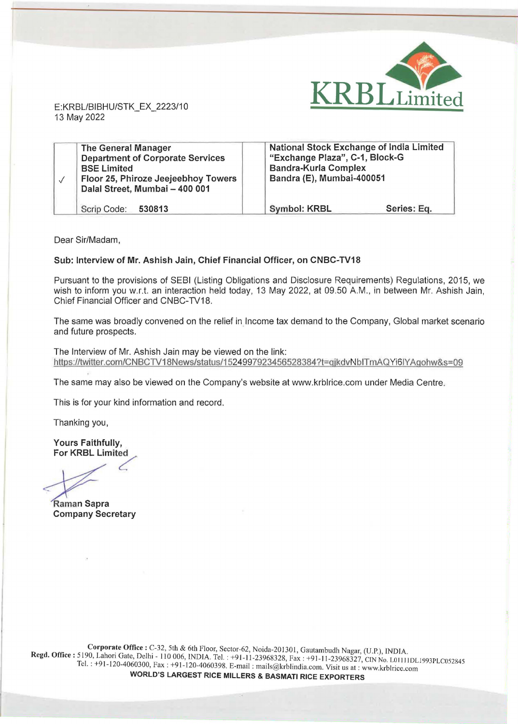

E:KRBL/BIBHU/STK\_EX\_2223/10 13 May 2022

| <b>The General Manager</b><br><b>Department of Corporate Services</b><br><b>BSE Limited</b><br>Floor 25, Phiroze Jeejeebhoy Towers<br>Dalal Street, Mumbai - 400 001 | <b>National Stock Exchange of India Limited</b><br>"Exchange Plaza", C-1, Block-G<br><b>Bandra-Kurla Complex</b><br>Bandra (E), Mumbai-400051 |             |  |
|----------------------------------------------------------------------------------------------------------------------------------------------------------------------|-----------------------------------------------------------------------------------------------------------------------------------------------|-------------|--|
| Scrip Code: 530813                                                                                                                                                   | <b>Symbol: KRBL</b>                                                                                                                           | Series: Eq. |  |

Dear Sir/Madam,

## **Sub: Interview of Mr. Ashish Jain, Chief Financial Officer, on CNBC-TV18**

Pursuant to the provisions of SEBI (Listing Obligations and Disclosure Requirements) Regulations, 2015, we wish to inform you w.r.t. an interaction held today, 13 May 2022, at 09.50 A.M., in between Mr. Ashish Jain, Chief Financial Officer and CNBC-TV18.

The same was broadly convened on the relief in Income tax demand to the Company, Global market scenario and future prospects.

The Interview of Mr. Ashish Jain may be viewed on the link: https://twitter.com/CNBCTV18News/status/1524997923456528384?t=qjkdvNblTmAQYi6lYAgohw&s=09

The same may also be viewed on the Company's website at www.krblrice.com under Media Centre.

This is for your kind information and record.

Thanking you,

**Yours Faithfully, For KRBL Limited** 

**Company Secretary**  Raman Sapra